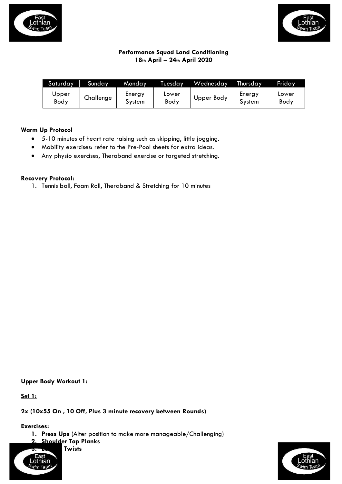



## **Performance Squad Land Conditioning 18th April – 24th April 2020**

| Saturday      | Sunday    | <b>Monday</b>    | Tuesday       | Wednesday  | Thursday         | Friday        |
|---------------|-----------|------------------|---------------|------------|------------------|---------------|
| Upper<br>Body | Challenge | Energy<br>System | Lower<br>Body | Upper Body | Energy<br>System | Lower<br>Body |

### **Warm Up Protocol**

- 5-10 minutes of heart rate raising such as skipping, little jogging.
- Mobility exercises: refer to the Pre-Pool sheets for extra ideas.
- Any physio exercises, Theraband exercise or targeted stretching.

### **Recovery Protocol:**

1. Tennis ball, Foam Roll, Theraband & Stretching for 10 minutes

## **Upper Body Workout 1:**

**Set 1:**

#### **2x (10x55 On , 10 Off, Plus 3 minute recovery between Rounds)**

**Exercises:**

**1. Press Ups** (Alter position to make more manageable/Challenging)

**2. Shoulder Tap Planks 3. Lunges Twists**



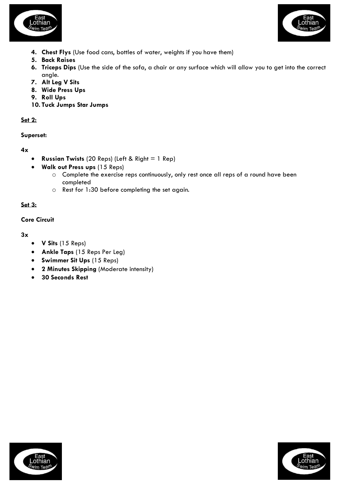



- **4. Chest Flys** (Use food cans, bottles of water, weights if you have them)
- **5. Back Raises**
- **6. Triceps Dips** (Use the side of the sofa, a chair or any surface which will allow you to get into the correct angle.
- **7. Alt Leg V Sits**
- **8. Wide Press Ups**
- **9. Roll Ups**
- **10. Tuck Jumps Star Jumps**

## **Set 2:**

## **Superset:**

# **4x**

- **Russian Twists** (20 Reps) (Left & Right = 1 Rep)
- **Walk out Press ups** (15 Reps)
	- o Complete the exercise reps continuously, only rest once all reps of a round have been completed
	- o Rest for 1:30 before completing the set again.

# **Set 3:**

## **Core Circuit**

**3x**

- **V Sits** (15 Reps)
- **Ankle Taps** (15 Reps Per Leg)
- **Swimmer Sit Ups** (15 Reps)
- **2 Minutes Skipping** (Moderate intensity)
- **30 Seconds Rest**



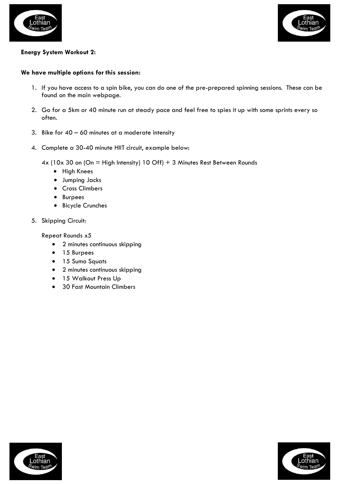



## **Energy System Workout 2:**

#### **We have multiple options for this session:**

- 1. If you have access to a spin bike, you can do one of the pre-prepared spinning sessions. These can be found on the main webpage.
- 2. Go for a 5km or 40 minute run at steady pace and feel free to spies it up with some sprints every so often.
- 3. Bike for  $40 60$  minutes at a moderate intensity
- 4. Complete a 30-40 minute HIIT circuit, example below:

4x (10x 30 on (On = High Intensity) 10 Off) + 3 Minutes Rest Between Rounds

- High Knees
- Jumping Jacks
- Cross Climbers
- Burpees
- Bicycle Crunches
- 5. Skipping Circuit:

Repeat Rounds x5

- 2 minutes continuous skipping
- 15 Burpees
- 15 Sumo Squats
- 2 minutes continuous skipping
- 15 Walkout Press Up
- 30 Fast Mountain Climbers



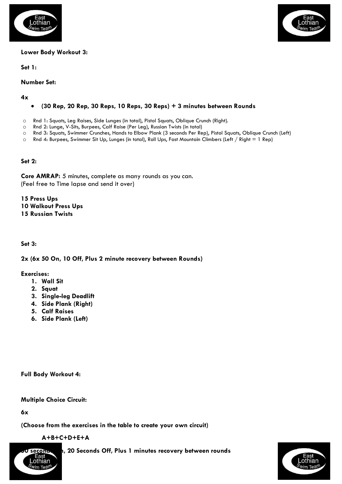



#### **Lower Body Workout 3:**

**Set 1:**

**Number Set:**

**4x**

## • **(30 Rep, 20 Rep, 30 Reps, 10 Reps, 30 Reps) + 3 minutes between Rounds**

- o Rnd 1: Squats, Leg Raises, Side Lunges (in total), Pistol Squats, Oblique Crunch (Right).
- o Rnd 2: Lunge, V-Sits, Burpees, Calf Raise (Per Leg), Russian Twists (in total)
- o Rnd 3: Squats, Swimmer Crunches, Hands to Elbow Plank (3 seconds Per Rep), Pistol Squats, Oblique Crunch (Left)
- o Rnd 4: Burpees, Swimmer Sit Up, Lunges (in total), Roll Ups, Fast Mountain Climbers (Left / Right = 1 Rep)

**Set 2:**

**Core AMRAP:** 5 minutes, complete as many rounds as you can. (Feel free to Time lapse and send it over)

**15 Press Ups 10 Walkout Press Ups 15 Russian Twists**

**Set 3:** 

#### **2x (6x 50 On, 10 Off, Plus 2 minute recovery between Rounds)**

**Exercises:**

- **1. Wall Sit**
- **2. Squat**
- **3. Single-leg Deadlift**
- **4. Side Plank (Right)**
- **5. Calf Raises**
- **6. Side Plank (Left)**

**Full Body Workout 4:**

**Multiple Choice Circuit:** 

**6x**

**(Choose from the exercises in the table to create your own circuit)**

**A+B+C+D+E+A** 



**seconds 60 seconds Off, Plus 1 minutes recovery between rounds** 

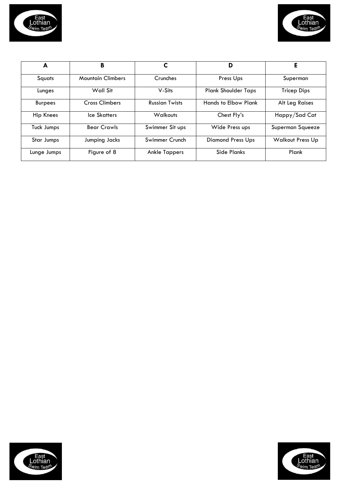



| A              | в                        |                       | D                           | Е                       |
|----------------|--------------------------|-----------------------|-----------------------------|-------------------------|
| Squats         | <b>Mountain Climbers</b> | Crunches              | Press Ups                   | Superman                |
| Lunges         | Wall Sit                 | V-Sits                | <b>Plank Shoulder Taps</b>  | <b>Tricep Dips</b>      |
| <b>Burpees</b> | <b>Cross Climbers</b>    | <b>Russian Twists</b> | <b>Hands to Elbow Plank</b> | Alt Leg Raises          |
| Hip Knees      | Ice Skatters             | <b>Walkouts</b>       | Chest Fly's                 | Happy/Sad Cat           |
| Tuck Jumps     | <b>Bear Crawls</b>       | Swimmer Sit ups       | Wide Press ups              | Superman Squeeze        |
| Star Jumps     | Jumping Jacks            | Swimmer Crunch        | <b>Diamond Press Ups</b>    | <b>Walkout Press Up</b> |
| Lunge Jumps    | Figure of 8              | <b>Ankle Tappers</b>  | Side Planks                 | Plank                   |



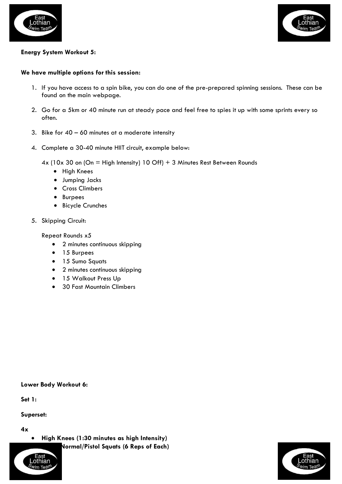



## **Energy System Workout 5:**

#### **We have multiple options for this session:**

- 1. If you have access to a spin bike, you can do one of the pre-prepared spinning sessions. These can be found on the main webpage.
- 2. Go for a 5km or 40 minute run at steady pace and feel free to spies it up with some sprints every so often.
- 3. Bike for  $40 60$  minutes at a moderate intensity
- 4. Complete a 30-40 minute HIIT circuit, example below:

4x (10x 30 on (On = High Intensity) 10 Off) + 3 Minutes Rest Between Rounds

- High Knees
- Jumping Jacks
- Cross Climbers
- Burpees
- Bicycle Crunches
- 5. Skipping Circuit:

Repeat Rounds x5

- 2 minutes continuous skipping
- 15 Burpees
- 15 Sumo Squats
- 2 minutes continuous skipping
- 15 Walkout Press Up
- 30 Fast Mountain Climbers

#### **Lower Body Workout 6:**

**Set 1:**

#### **Superset:**

**4x**

• **High Knees (1:30 minutes as high Intensity)**